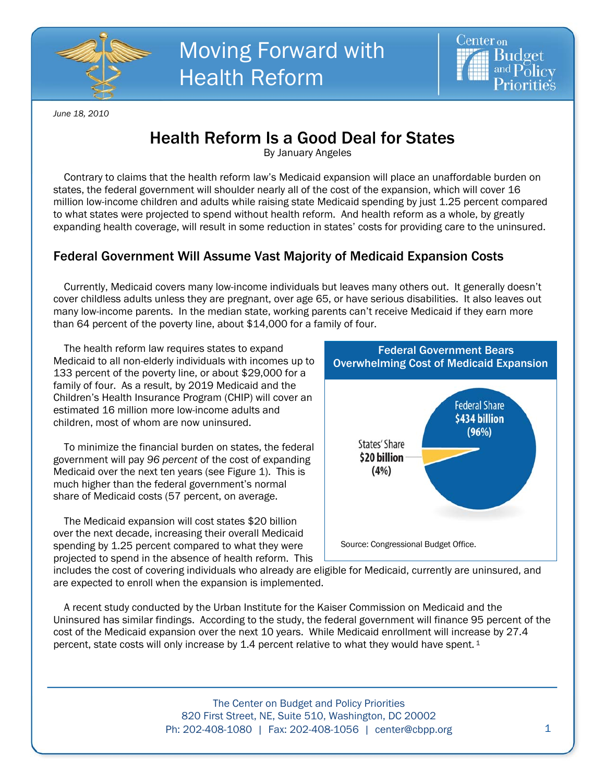



*June 18, 2010* 

## Health Reform Is a Good Deal for States

By January Angeles

Contrary to claims that the health reform law's Medicaid expansion will place an unaffordable burden on states, the federal government will shoulder nearly all of the cost of the expansion, which will cover 16 million low-income children and adults while raising state Medicaid spending by just 1.25 percent compared to what states were projected to spend without health reform. And health reform as a whole, by greatly expanding health coverage, will result in some reduction in states' costs for providing care to the uninsured.

## Federal Government Will Assume Vast Majority of Medicaid Expansion Costs

Currently, Medicaid covers many low-income individuals but leaves many others out. It generally doesn't cover childless adults unless they are pregnant, over age 65, or have serious disabilities. It also leaves out many low-income parents. In the median state, working parents can't receive Medicaid if they earn more than 64 percent of the poverty line, about \$14,000 for a family of four.

The health reform law requires states to expand Medicaid to all non-elderly individuals with incomes up to 133 percent of the poverty line, or about \$29,000 for a family of four. As a result, by 2019 Medicaid and the Children's Health Insurance Program (CHIP) will cover an estimated 16 million more low-income adults and children, most of whom are now uninsured.

To minimize the financial burden on states, the federal government will pay *96 percent* of the cost of expanding Medicaid over the next ten years (see Figure 1). This is much higher than the federal government's normal share of Medicaid costs (57 percent, on average.

The Medicaid expansion will cost states \$20 billion over the next decade, increasing their overall Medicaid spending by 1.25 percent compared to what they were projected to spend in the absence of health reform. This



includes the cost of covering individuals who already are eligible for Medicaid, currently are uninsured, and are expected to enroll when the expansion is implemented.

A recent study conducted by the Urban Institute for the Kaiser Commission on Medicaid and the Uninsured has similar findings. According to the study, the federal government will finance 95 percent of the cost of the Medicaid expansion over the next 10 years. While Medicaid enrollment will increase by 27.4 percent, state costs will only increase by 1.4 percent relative to what they would have spent. <sup>1</sup>

> The Center on Budget and Policy Priorities 820 First Street, NE, Suite 510, Washington, DC 20002 Ph: 202-408-1080 | Fax: 202-408-1056 | center@cbpp.org